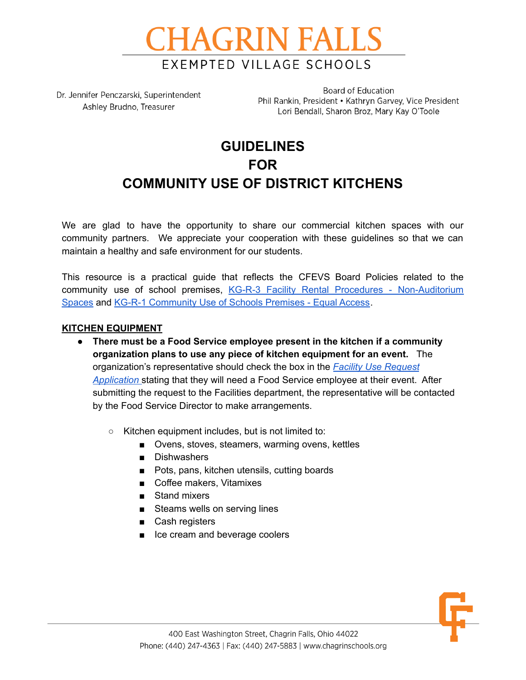

Dr. Jennifer Penczarski, Superintendent Ashley Brudno, Treasurer

Board of Education Phil Rankin, President • Kathryn Garvey, Vice President Lori Bendall, Sharon Broz, Mary Kay O'Toole

# **GUIDELINES FOR COMMUNITY USE OF DISTRICT KITCHENS**

We are glad to have the opportunity to share our commercial kitchen spaces with our community partners. We appreciate your cooperation with these guidelines so that we can maintain a healthy and safe environment for our students.

This resource is a practical guide that reflects the CFEVS Board Policies related to the community use of school premises, KG-R-3 Facility Rental Procedures - [Non-Auditorium](https://www.chagrinschools.org/Downloads/KG-R-3%20-%20Facility%20Rental%20Procedures%20-%20Non-Auditorium%20Spaces.pdf) [Spaces](https://www.chagrinschools.org/Downloads/KG-R-3%20-%20Facility%20Rental%20Procedures%20-%20Non-Auditorium%20Spaces.pdf) and KG-R-1 [Community](https://drive.google.com/file/d/13iicX3VoQNEikkgg5KK-ewQ2n6bxxQOJ/view?usp=sharing) Use of Schools Premises - Equal Access.

#### **KITCHEN EQUIPMENT**

- **There must be a Food Service employee present in the kitchen if a community organization plans to use any piece of kitchen equipment for an event.** The organization's representative should check the box in the *Facility Use [Request](https://www.chagrinschools.org/FacilitiesRentals.aspx) [Application](https://www.chagrinschools.org/FacilitiesRentals.aspx)* stating that they will need a Food Service employee at their event. After submitting the request to the Facilities department, the representative will be contacted by the Food Service Director to make arrangements.
	- Kitchen equipment includes, but is not limited to:
		- Ovens, stoves, steamers, warming ovens, kettles
		- Dishwashers
		- Pots, pans, kitchen utensils, cutting boards
		- Coffee makers, Vitamixes
		- Stand mixers
		- Steams wells on serving lines
		- Cash registers
		- Ice cream and beverage coolers

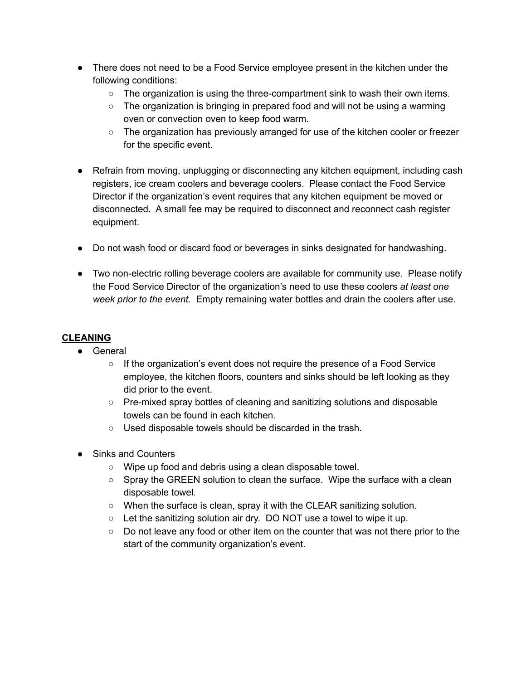- There does not need to be a Food Service employee present in the kitchen under the following conditions:
	- $\circ$  The organization is using the three-compartment sink to wash their own items.
	- $\circ$  The organization is bringing in prepared food and will not be using a warming oven or convection oven to keep food warm.
	- The organization has previously arranged for use of the kitchen cooler or freezer for the specific event.
- Refrain from moving, unplugging or disconnecting any kitchen equipment, including cash registers, ice cream coolers and beverage coolers. Please contact the Food Service Director if the organization's event requires that any kitchen equipment be moved or disconnected. A small fee may be required to disconnect and reconnect cash register equipment.
- Do not wash food or discard food or beverages in sinks designated for handwashing.
- Two non-electric rolling beverage coolers are available for community use. Please notify the Food Service Director of the organization's need to use these coolers *at least one week prior to the event.* Empty remaining water bottles and drain the coolers after use.

# **CLEANING**

- General
	- $\circ$  If the organization's event does not require the presence of a Food Service employee, the kitchen floors, counters and sinks should be left looking as they did prior to the event.
	- Pre-mixed spray bottles of cleaning and sanitizing solutions and disposable towels can be found in each kitchen.
	- Used disposable towels should be discarded in the trash.
- Sinks and Counters
	- Wipe up food and debris using a clean disposable towel.
	- Spray the GREEN solution to clean the surface. Wipe the surface with a clean disposable towel.
	- When the surface is clean, spray it with the CLEAR sanitizing solution.
	- $\circ$  Let the sanitizing solution air dry. DO NOT use a towel to wipe it up.
	- Do not leave any food or other item on the counter that was not there prior to the start of the community organization's event.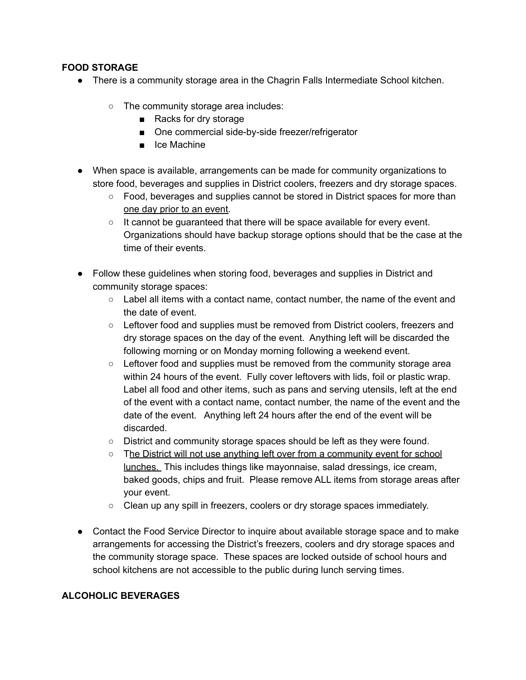## **FOOD STORAGE**

- There is a community storage area in the Chagrin Falls Intermediate School kitchen.
	- The community storage area includes:
		- Racks for dry storage
		- One commercial side-by-side freezer/refrigerator
		- Ice Machine
- When space is available, arrangements can be made for community organizations to store food, beverages and supplies in District coolers, freezers and dry storage spaces.
	- Food, beverages and supplies cannot be stored in District spaces for more than one day prior to an event.
	- It cannot be guaranteed that there will be space available for every event. Organizations should have backup storage options should that be the case at the time of their events.
- Follow these guidelines when storing food, beverages and supplies in District and community storage spaces:
	- $\circ$  Label all items with a contact name, contact number, the name of the event and the date of event.
	- Leftover food and supplies must be removed from District coolers, freezers and dry storage spaces on the day of the event. Anything left will be discarded the following morning or on Monday morning following a weekend event.
	- Leftover food and supplies must be removed from the community storage area within 24 hours of the event. Fully cover leftovers with lids, foil or plastic wrap. Label all food and other items, such as pans and serving utensils, left at the end of the event with a contact name, contact number, the name of the event and the date of the event. Anything left 24 hours after the end of the event will be discarded.
	- District and community storage spaces should be left as they were found.
	- The District will not use anything left over from a community event for school lunches. This includes things like mayonnaise, salad dressings, ice cream, baked goods, chips and fruit. Please remove ALL items from storage areas after your event.
	- Clean up any spill in freezers, coolers or dry storage spaces immediately.
- Contact the Food Service Director to inquire about available storage space and to make arrangements for accessing the District's freezers, coolers and dry storage spaces and the community storage space. These spaces are locked outside of school hours and school kitchens are not accessible to the public during lunch serving times.

## **ALCOHOLIC BEVERAGES**